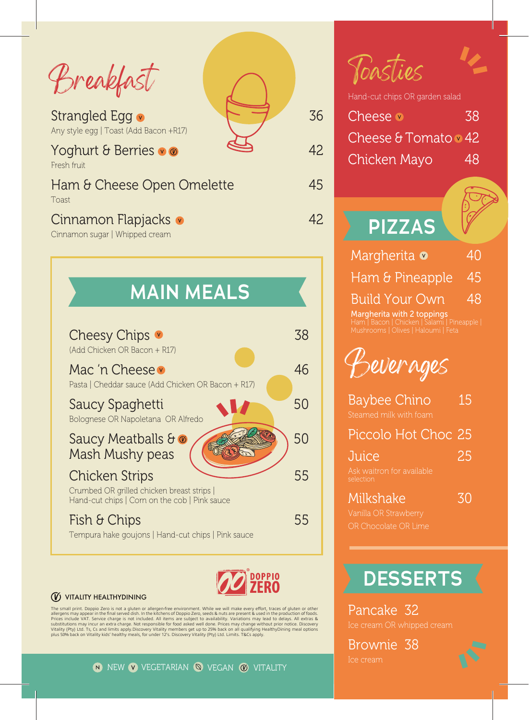Breakfast

Strangled Egg  $\sim$  36 Any style egg | Toast (Add Bacon +R17)

#### Yoghurt & Berries  $\bullet \bullet$   $\bullet$   $\bullet$  42 Fresh fruit

Ham & Cheese Open Omelette 45 Toast

### Cinnamon Flapjacks 42

Cinnamon sugar | Whipped cream





#### **W** VITALITY HEALTHYDINING

The small print. Doppio Zero is not a gluten or allergen-free environment. While we will make every effort, traces of gluten or other<br>Pirces include NAT. Service charge is not included. All items are subject to availabilit

**PIZZAS** Margherita **0** 40 Ham & Pineapple 45 Build Your Own 48 Margherita with 2 toppings Hand-cut chips OR garden salad Cheese **38** Cheese  $\theta$  Tomato  $\theta$  42 Chicken Mayo 48 Toasties Beverages Baybee Chino 15

| Piccolo Hot Choc 25                    |    |
|----------------------------------------|----|
| Juice                                  | 25 |
| Ask waitron for available<br>selection |    |

Milkshake 30

## **DESSERTS**

Pancake 32

Brownie 38



N NEW VEGETARIAN W VEGAN W VITALITY